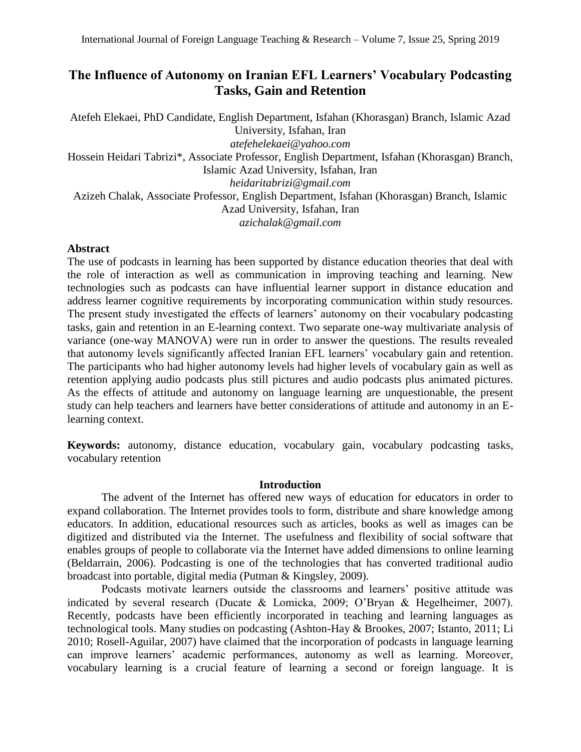# **The Influence of Autonomy on Iranian EFL Learners' Vocabulary Podcasting Tasks, Gain and Retention**

Atefeh Elekaei, PhD Candidate, English Department, Isfahan (Khorasgan) Branch, Islamic Azad University, Isfahan, Iran *atefehelekaei@yahoo.com* Hossein Heidari Tabrizi\*, Associate Professor, English Department, Isfahan (Khorasgan) Branch, Islamic Azad University, Isfahan, Iran *heidaritabrizi@gmail.com* Azizeh Chalak, Associate Professor, English Department, Isfahan (Khorasgan) Branch, Islamic Azad University, Isfahan, Iran *azichalak@gmail.com*

## **Abstract**

The use of podcasts in learning has been supported by distance education theories that deal with the role of interaction as well as communication in improving teaching and learning. New technologies such as podcasts can have influential learner support in distance education and address learner cognitive requirements by incorporating communication within study resources. The present study investigated the effects of learners' autonomy on their vocabulary podcasting tasks, gain and retention in an E-learning context. Two separate one-way multivariate analysis of variance (one-way MANOVA) were run in order to answer the questions. The results revealed that autonomy levels significantly affected Iranian EFL learners' vocabulary gain and retention. The participants who had higher autonomy levels had higher levels of vocabulary gain as well as retention applying audio podcasts plus still pictures and audio podcasts plus animated pictures. As the effects of attitude and autonomy on language learning are unquestionable, the present study can help teachers and learners have better considerations of attitude and autonomy in an Elearning context.

**Keywords:** autonomy, distance education, vocabulary gain, vocabulary podcasting tasks, vocabulary retention

## **Introduction**

The advent of the Internet has offered new ways of education for educators in order to expand collaboration. The Internet provides tools to form, distribute and share knowledge among educators. In addition, educational resources such as articles, books as well as images can be digitized and distributed via the Internet. The usefulness and flexibility of social software that enables groups of people to collaborate via the Internet have added dimensions to online learning (Beldarrain, 2006). Podcasting is one of the technologies that has converted traditional audio broadcast into portable, digital media (Putman & Kingsley, 2009).

Podcasts motivate learners outside the classrooms and learners' positive attitude was indicated by several research (Ducate & Lomicka, 2009; O'Bryan & Hegelheimer, 2007). Recently, podcasts have been efficiently incorporated in teaching and learning languages as technological tools. Many studies on podcasting (Ashton-Hay & Brookes, 2007; Istanto, 2011; Li 2010; Rosell-Aguilar, 2007) have claimed that the incorporation of podcasts in language learning can improve learners' academic performances, autonomy as well as learning. Moreover, vocabulary learning is a crucial feature of learning a second or foreign language. It is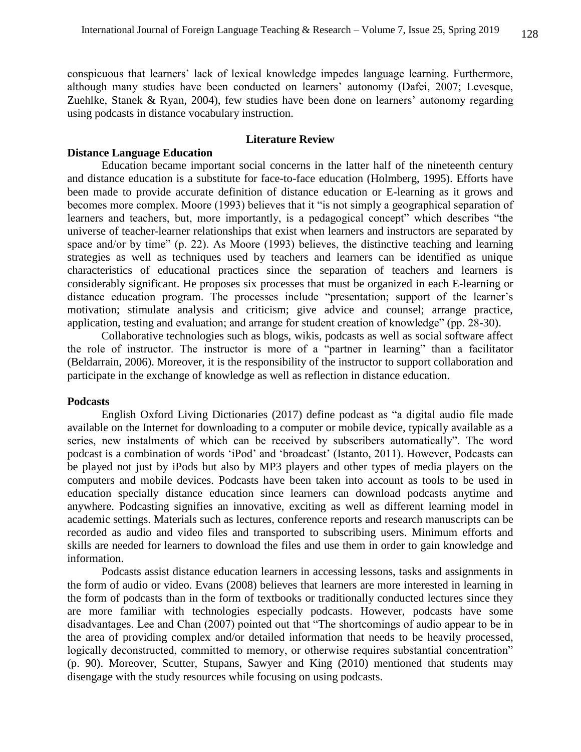conspicuous that learners' lack of lexical knowledge impedes language learning. Furthermore, although many studies have been conducted on learners' autonomy (Dafei, 2007; Levesque, Zuehlke, Stanek & Ryan, 2004), few studies have been done on learners' autonomy regarding using podcasts in distance vocabulary instruction.

## **Literature Review**

## **Distance Language Education**

Education became important social concerns in the latter half of the nineteenth century and distance education is a substitute for face-to-face education (Holmberg, 1995). Efforts have been made to provide accurate definition of distance education or E-learning as it grows and becomes more complex. Moore (1993) believes that it "is not simply a geographical separation of learners and teachers, but, more importantly, is a pedagogical concept" which describes "the universe of teacher-learner relationships that exist when learners and instructors are separated by space and/or by time" (p. 22). As Moore (1993) believes, the distinctive teaching and learning strategies as well as techniques used by teachers and learners can be identified as unique characteristics of educational practices since the separation of teachers and learners is considerably significant. He proposes six processes that must be organized in each E-learning or distance education program. The processes include "presentation; support of the learner's motivation; stimulate analysis and criticism; give advice and counsel; arrange practice, application, testing and evaluation; and arrange for student creation of knowledge" (pp. 28-30).

Collaborative technologies such as blogs, wikis, podcasts as well as social software affect the role of instructor. The instructor is more of a "partner in learning" than a facilitator (Beldarrain, 2006). Moreover, it is the responsibility of the instructor to support collaboration and participate in the exchange of knowledge as well as reflection in distance education.

## **Podcasts**

English Oxford Living Dictionaries (2017) define podcast as "a digital audio file made available on the Internet for downloading to a computer or mobile device, typically available as a series, new instalments of which can be received by subscribers automatically". The word podcast is a combination of words 'iPod' and 'broadcast' (Istanto, 2011). However, Podcasts can be played not just by iPods but also by MP3 players and other types of media players on the computers and mobile devices. Podcasts have been taken into account as tools to be used in education specially distance education since learners can download podcasts anytime and anywhere. Podcasting signifies an innovative, exciting as well as different learning model in academic settings. Materials such as lectures, conference reports and research manuscripts can be recorded as audio and video files and transported to subscribing users. Minimum efforts and skills are needed for learners to download the files and use them in order to gain knowledge and information.

Podcasts assist distance education learners in accessing lessons, tasks and assignments in the form of audio or video. Evans (2008) believes that learners are more interested in learning in the form of podcasts than in the form of textbooks or traditionally conducted lectures since they are more familiar with technologies especially podcasts. However, podcasts have some disadvantages. Lee and Chan (2007) pointed out that "The shortcomings of audio appear to be in the area of providing complex and/or detailed information that needs to be heavily processed, logically deconstructed, committed to memory, or otherwise requires substantial concentration" (p. 90). Moreover, Scutter, Stupans, Sawyer and King (2010) mentioned that students may disengage with the study resources while focusing on using podcasts.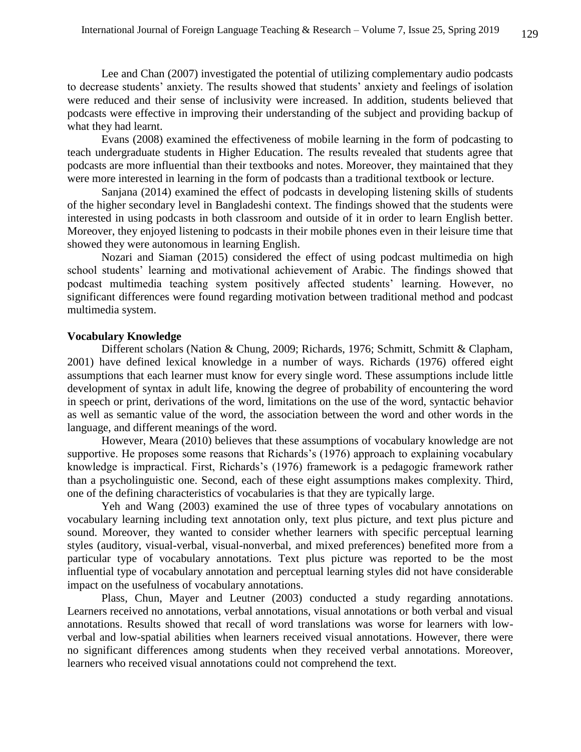Lee and Chan (2007) investigated the potential of utilizing complementary audio podcasts to decrease students' anxiety. The results showed that students' anxiety and feelings of isolation were reduced and their sense of inclusivity were increased. In addition, students believed that podcasts were effective in improving their understanding of the subject and providing backup of what they had learnt.

Evans (2008) examined the effectiveness of mobile learning in the form of podcasting to teach undergraduate students in Higher Education. The results revealed that students agree that podcasts are more influential than their textbooks and notes. Moreover, they maintained that they were more interested in learning in the form of podcasts than a traditional textbook or lecture.

Sanjana (2014) examined the effect of podcasts in developing listening skills of students of the higher secondary level in Bangladeshi context. The findings showed that the students were interested in using podcasts in both classroom and outside of it in order to learn English better. Moreover, they enjoyed listening to podcasts in their mobile phones even in their leisure time that showed they were autonomous in learning English.

Nozari and Siaman (2015) considered the effect of using podcast multimedia on high school students' learning and motivational achievement of Arabic. The findings showed that podcast multimedia teaching system positively affected students' learning. However, no significant differences were found regarding motivation between traditional method and podcast multimedia system.

## **Vocabulary Knowledge**

Different scholars (Nation & Chung, 2009; Richards, 1976; Schmitt, Schmitt & Clapham, 2001) have defined lexical knowledge in a number of ways. Richards (1976) offered eight assumptions that each learner must know for every single word. These assumptions include little development of syntax in adult life, knowing the degree of probability of encountering the word in speech or print, derivations of the word, limitations on the use of the word, syntactic behavior as well as semantic value of the word, the association between the word and other words in the language, and different meanings of the word.

However, Meara (2010) believes that these assumptions of vocabulary knowledge are not supportive. He proposes some reasons that Richards's (1976) approach to explaining vocabulary knowledge is impractical. First, Richards's (1976) framework is a pedagogic framework rather than a psycholinguistic one. Second, each of these eight assumptions makes complexity. Third, one of the defining characteristics of vocabularies is that they are typically large.

Yeh and Wang (2003) examined the use of three types of vocabulary annotations on vocabulary learning including text annotation only, text plus picture, and text plus picture and sound. Moreover, they wanted to consider whether learners with specific perceptual learning styles (auditory, visual-verbal, visual-nonverbal, and mixed preferences) benefited more from a particular type of vocabulary annotations. Text plus picture was reported to be the most influential type of vocabulary annotation and perceptual learning styles did not have considerable impact on the usefulness of vocabulary annotations.

Plass, Chun, Mayer and Leutner (2003) conducted a study regarding annotations. Learners received no annotations, verbal annotations, visual annotations or both verbal and visual annotations. Results showed that recall of word translations was worse for learners with lowverbal and low-spatial abilities when learners received visual annotations. However, there were no significant differences among students when they received verbal annotations. Moreover, learners who received visual annotations could not comprehend the text.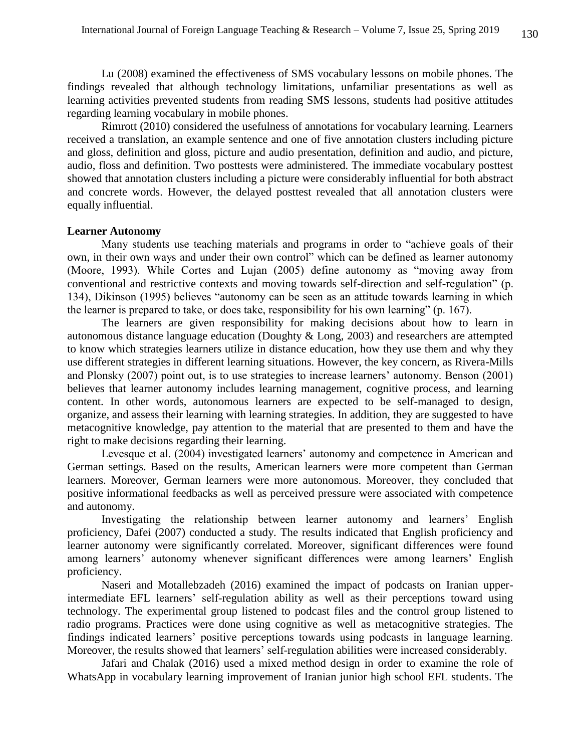Lu (2008) examined the effectiveness of SMS vocabulary lessons on mobile phones. The findings revealed that although technology limitations, unfamiliar presentations as well as learning activities prevented students from reading SMS lessons, students had positive attitudes regarding learning vocabulary in mobile phones.

Rimrott (2010) considered the usefulness of annotations for vocabulary learning. Learners received a translation, an example sentence and one of five annotation clusters including picture and gloss, definition and gloss, picture and audio presentation, definition and audio, and picture, audio, floss and definition. Two posttests were administered. The immediate vocabulary posttest showed that annotation clusters including a picture were considerably influential for both abstract and concrete words. However, the delayed posttest revealed that all annotation clusters were equally influential.

#### **Learner Autonomy**

Many students use teaching materials and programs in order to "achieve goals of their own, in their own ways and under their own control" which can be defined as learner autonomy (Moore, 1993). While Cortes and Lujan (2005) define autonomy as "moving away from conventional and restrictive contexts and moving towards self-direction and self-regulation" (p. 134), Dikinson (1995) believes "autonomy can be seen as an attitude towards learning in which the learner is prepared to take, or does take, responsibility for his own learning" (p. 167).

The learners are given responsibility for making decisions about how to learn in autonomous distance language education (Doughty & Long, 2003) and researchers are attempted to know which strategies learners utilize in distance education, how they use them and why they use different strategies in different learning situations. However, the key concern, as Rivera-Mills and Plonsky (2007) point out, is to use strategies to increase learners' autonomy. Benson (2001) believes that learner autonomy includes learning management, cognitive process, and learning content. In other words, autonomous learners are expected to be self-managed to design, organize, and assess their learning with learning strategies. In addition, they are suggested to have metacognitive knowledge, pay attention to the material that are presented to them and have the right to make decisions regarding their learning.

Levesque et al. (2004) investigated learners' autonomy and competence in American and German settings. Based on the results, American learners were more competent than German learners. Moreover, German learners were more autonomous. Moreover, they concluded that positive informational feedbacks as well as perceived pressure were associated with competence and autonomy.

Investigating the relationship between learner autonomy and learners' English proficiency, Dafei (2007) conducted a study. The results indicated that English proficiency and learner autonomy were significantly correlated. Moreover, significant differences were found among learners' autonomy whenever significant differences were among learners' English proficiency.

Naseri and Motallebzadeh (2016) examined the impact of podcasts on Iranian upperintermediate EFL learners' self-regulation ability as well as their perceptions toward using technology. The experimental group listened to podcast files and the control group listened to radio programs. Practices were done using cognitive as well as metacognitive strategies. The findings indicated learners' positive perceptions towards using podcasts in language learning. Moreover, the results showed that learners' self-regulation abilities were increased considerably.

Jafari and Chalak (2016) used a mixed method design in order to examine the role of WhatsApp in vocabulary learning improvement of Iranian junior high school EFL students. The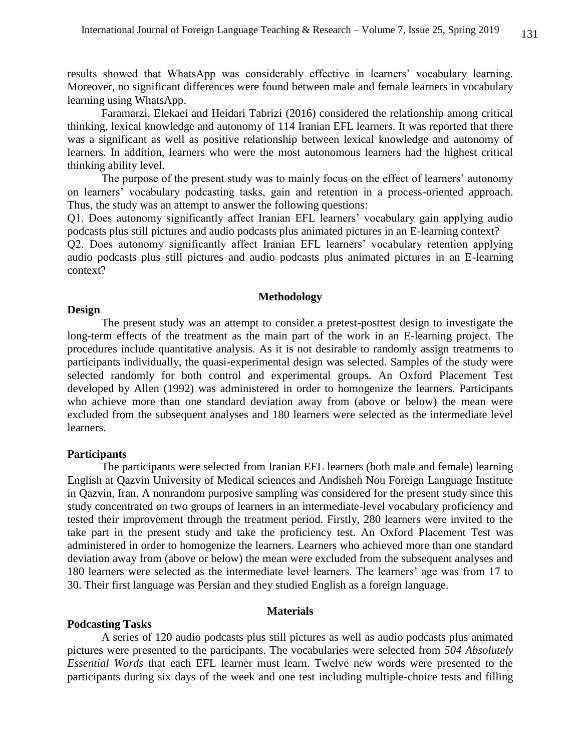results showed that WhatsApp was considerably effective in learners' vocabulary learning. Moreover, no significant differences were found between male and female learners in vocabulary learning using WhatsApp.

Faramarzi, Elekaei and Heidari Tabrizi (2016) considered the relationship among critical thinking, lexical knowledge and autonomy of 114 Iranian EFL learners. It was reported that there was a significant as well as positive relationship between lexical knowledge and autonomy of learners. In addition, learners who were the most autonomous learners had the highest critical thinking ability level.

The purpose of the present study was to mainly focus on the effect of learners' autonomy on learners' vocabulary podcasting tasks, gain and retention in a process-oriented approach. Thus, the study was an attempt to answer the following questions:

Q1. Does autonomy significantly affect Iranian EFL learners' vocabulary gain applying audio podcasts plus still pictures and audio podcasts plus animated pictures in an E-learning context?

Q2. Does autonomy significantly affect Iranian EFL learners' vocabulary retention applying audio podcasts plus still pictures and audio podcasts plus animated pictures in an E-learning context?

## **Methodology**

#### **Design**

The present study was an attempt to consider a pretest-posttest design to investigate the long-term effects of the treatment as the main part of the work in an E-learning project. The procedures include quantitative analysis. As it is not desirable to randomly assign treatments to participants individually, the quasi-experimental design was selected. Samples of the study were selected randomly for both control and experimental groups. An Oxford Placement Test developed by Allen (1992) was administered in order to homogenize the learners. Participants who achieve more than one standard deviation away from (above or below) the mean were excluded from the subsequent analyses and 180 learners were selected as the intermediate level learners.

## **Participants**

The participants were selected from Iranian EFL learners (both male and female) learning English at Qazvin University of Medical sciences and Andisheh Nou Foreign Language Institute in Qazvin, Iran. A nonrandom purposive sampling was considered for the present study since this study concentrated on two groups of learners in an intermediate-level vocabulary proficiency and tested their improvement through the treatment period. Firstly, 280 learners were invited to the take part in the present study and take the proficiency test. An Oxford Placement Test was administered in order to homogenize the learners. Learners who achieved more than one standard deviation away from (above or below) the mean were excluded from the subsequent analyses and 180 learners were selected as the intermediate level learners. The learners' age was from 17 to 30. Their first language was Persian and they studied English as a foreign language.

#### **Materials**

#### **Podcasting Tasks**

A series of 120 audio podcasts plus still pictures as well as audio podcasts plus animated pictures were presented to the participants. The vocabularies were selected from *504 Absolutely Essential Words* that each EFL learner must learn. Twelve new words were presented to the participants during six days of the week and one test including multiple-choice tests and filling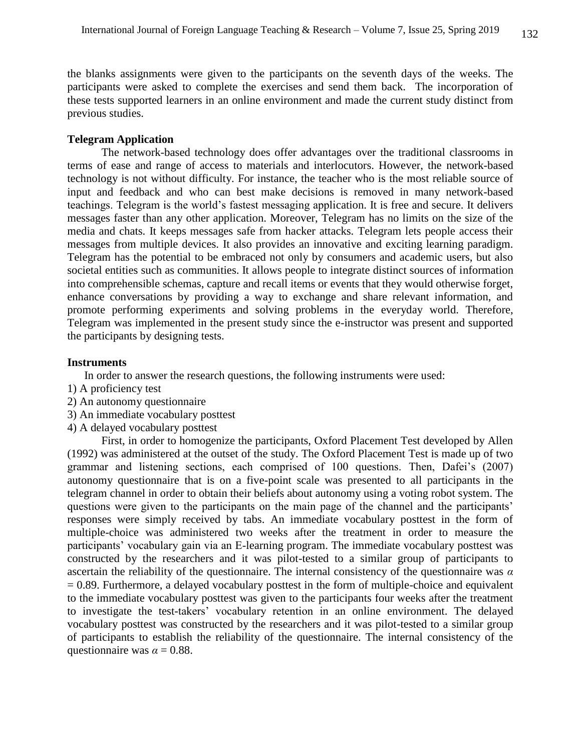the blanks assignments were given to the participants on the seventh days of the weeks. The participants were asked to complete the exercises and send them back. The incorporation of these tests supported learners in an online environment and made the current study distinct from previous studies.

#### **Telegram Application**

The network-based technology does offer advantages over the traditional classrooms in terms of ease and range of access to materials and interlocutors. However, the network-based technology is not without difficulty. For instance, the teacher who is the most reliable source of input and feedback and who can best make decisions is removed in many network-based teachings. Telegram is the world's fastest messaging application. It is free and secure. It delivers messages faster than any other application. Moreover, Telegram has no limits on the size of the media and chats. It keeps messages safe from hacker attacks. Telegram lets people access their messages from multiple devices. It also provides an innovative and exciting learning paradigm. Telegram has the potential to be embraced not only by consumers and academic users, but also societal entities such as communities. It allows people to integrate distinct sources of information into comprehensible schemas, capture and recall items or events that they would otherwise forget, enhance conversations by providing a way to exchange and share relevant information, and promote performing experiments and solving problems in the everyday world. Therefore, Telegram was implemented in the present study since the e-instructor was present and supported the participants by designing tests.

## **Instruments**

In order to answer the research questions, the following instruments were used:

- 1) A proficiency test
- 2) An autonomy questionnaire
- 3) An immediate vocabulary posttest
- 4) A delayed vocabulary posttest

First, in order to homogenize the participants, Oxford Placement Test developed by Allen (1992) was administered at the outset of the study. The Oxford Placement Test is made up of two grammar and listening sections, each comprised of 100 questions. Then, Dafei's (2007) autonomy questionnaire that is on a five-point scale was presented to all participants in the telegram channel in order to obtain their beliefs about autonomy using a voting robot system. The questions were given to the participants on the main page of the channel and the participants' responses were simply received by tabs. An immediate vocabulary posttest in the form of multiple-choice was administered two weeks after the treatment in order to measure the participants' vocabulary gain via an E-learning program. The immediate vocabulary posttest was constructed by the researchers and it was pilot-tested to a similar group of participants to ascertain the reliability of the questionnaire. The internal consistency of the questionnaire was *α*   $= 0.89$ . Furthermore, a delayed vocabulary posttest in the form of multiple-choice and equivalent to the immediate vocabulary posttest was given to the participants four weeks after the treatment to investigate the test-takers' vocabulary retention in an online environment. The delayed vocabulary posttest was constructed by the researchers and it was pilot-tested to a similar group of participants to establish the reliability of the questionnaire. The internal consistency of the questionnaire was  $\alpha = 0.88$ .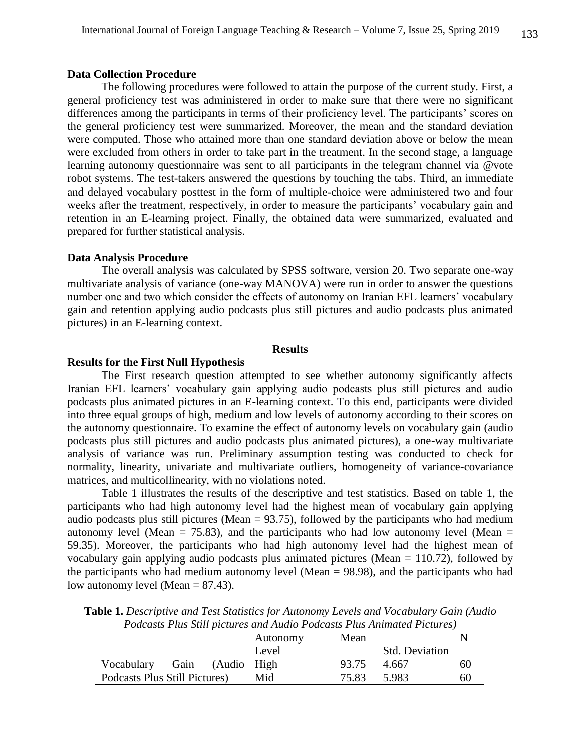## **Data Collection Procedure**

The following procedures were followed to attain the purpose of the current study. First, a general proficiency test was administered in order to make sure that there were no significant differences among the participants in terms of their proficiency level. The participants' scores on the general proficiency test were summarized. Moreover, the mean and the standard deviation were computed. Those who attained more than one standard deviation above or below the mean were excluded from others in order to take part in the treatment. In the second stage, a language learning autonomy questionnaire was sent to all participants in the telegram channel via @vote robot systems. The test-takers answered the questions by touching the tabs. Third, an immediate and delayed vocabulary posttest in the form of multiple-choice were administered two and four weeks after the treatment, respectively, in order to measure the participants' vocabulary gain and retention in an E-learning project. Finally, the obtained data were summarized, evaluated and prepared for further statistical analysis.

#### **Data Analysis Procedure**

The overall analysis was calculated by SPSS software, version 20. Two separate one-way multivariate analysis of variance (one-way MANOVA) were run in order to answer the questions number one and two which consider the effects of autonomy on Iranian EFL learners' vocabulary gain and retention applying audio podcasts plus still pictures and audio podcasts plus animated pictures) in an E-learning context.

## **Results**

## **Results for the First Null Hypothesis**

The First research question attempted to see whether autonomy significantly affects Iranian EFL learners' vocabulary gain applying audio podcasts plus still pictures and audio podcasts plus animated pictures in an E-learning context. To this end, participants were divided into three equal groups of high, medium and low levels of autonomy according to their scores on the autonomy questionnaire. To examine the effect of autonomy levels on vocabulary gain (audio podcasts plus still pictures and audio podcasts plus animated pictures), a one-way multivariate analysis of variance was run. Preliminary assumption testing was conducted to check for normality, linearity, univariate and multivariate outliers, homogeneity of variance-covariance matrices, and multicollinearity, with no violations noted.

Table 1 illustrates the results of the descriptive and test statistics. Based on table 1, the participants who had high autonomy level had the highest mean of vocabulary gain applying audio podcasts plus still pictures (Mean  $= 93.75$ ), followed by the participants who had medium autonomy level (Mean = 75.83), and the participants who had low autonomy level (Mean = 59.35). Moreover, the participants who had high autonomy level had the highest mean of vocabulary gain applying audio podcasts plus animated pictures (Mean = 110.72), followed by the participants who had medium autonomy level (Mean = 98.98), and the participants who had low autonomy level (Mean  $= 87.43$ ).

|                               | T oucasis I tas shu pictures and finale I oucasis I tas finimated I tentres) |  |          |       |                       |    |  |
|-------------------------------|------------------------------------------------------------------------------|--|----------|-------|-----------------------|----|--|
|                               |                                                                              |  | Autonomy | Mean  |                       |    |  |
|                               |                                                                              |  | Level    |       | <b>Std. Deviation</b> |    |  |
| Vocabulary Gain (Audio High   |                                                                              |  |          | 93.75 | 4.667                 | 60 |  |
| Podcasts Plus Still Pictures) |                                                                              |  | Mid      | 75.83 | 5.983                 | 60 |  |

**Table 1.** *Descriptive and Test Statistics for Autonomy Levels and Vocabulary Gain (Audio Podcasts Plus Still pictures and Audio Podcasts Plus Animated Pictures)*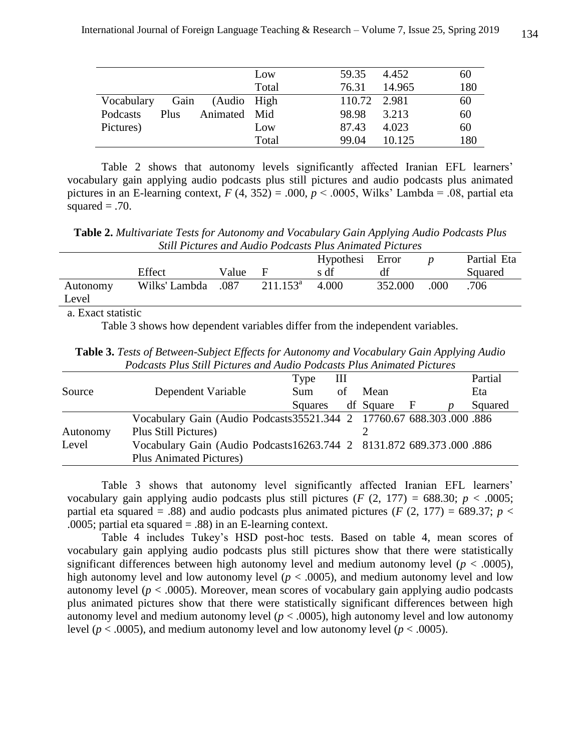|                 |      |              | Low   | 59.35        | 4.452  | 60  |
|-----------------|------|--------------|-------|--------------|--------|-----|
|                 |      |              | Total | 76.31        | 14.965 | 180 |
| Vocabulary      | Gain | (Audio High  |       | 110.72 2.981 |        | 60  |
| <b>Podcasts</b> | Plus | Animated Mid |       | 98.98        | 3.213  | 60  |
| Pictures)       |      |              | Low   | 87.43        | 4.023  | 60  |
|                 |      |              | Total | 99.04        | 10.125 | 180 |

Table 2 shows that autonomy levels significantly affected Iranian EFL learners' vocabulary gain applying audio podcasts plus still pictures and audio podcasts plus animated pictures in an E-learning context,  $F(4, 352) = .000$ ,  $p < .0005$ , Wilks' Lambda = .08, partial eta squared  $= .70$ .

**Table 2.** *Multivariate Tests for Autonomy and Vocabulary Gain Applying Audio Podcasts Plus Still Pictures and Audio Podcasts Plus Animated Pictures*

|                    | Effect             | Value | н           | Hypothesi Error<br>s df | df      |      | Partial Eta<br>Squared |
|--------------------|--------------------|-------|-------------|-------------------------|---------|------|------------------------|
| Autonomy<br>Level  | Wilks' Lambda .087 |       | $211.153^a$ | 4.000                   | 352.000 | .000 | .706                   |
| a. Exact statistic |                    |       |             |                         |         |      |                        |

Table 3 shows how dependent variables differ from the independent variables.

**Table 3.** *Tests of Between-Subject Effects for Autonomy and Vocabulary Gain Applying Audio Podcasts Plus Still Pictures and Audio Podcasts Plus Animated Pictures*

|          |                                                                       | Type       | Ш  |           |              | Partial |  |
|----------|-----------------------------------------------------------------------|------------|----|-----------|--------------|---------|--|
| Source   | Dependent Variable                                                    | <b>Sum</b> | of | Mean      |              | Eta     |  |
|          |                                                                       | Squares    |    | df Square | $\mathbf{F}$ | Squared |  |
|          | Vocabulary Gain (Audio Podcasts 35521.344 2 17760.67 688.303.000 .886 |            |    |           |              |         |  |
| Autonomy | Plus Still Pictures)                                                  |            |    |           |              |         |  |
| Level    | Vocabulary Gain (Audio Podcasts16263.744 2 8131.872 689.373.000 .886  |            |    |           |              |         |  |
|          | <b>Plus Animated Pictures</b> )                                       |            |    |           |              |         |  |

Table 3 shows that autonomy level significantly affected Iranian EFL learners' vocabulary gain applying audio podcasts plus still pictures (*F* (2, 177) = 688.30; *p* < .0005; partial eta squared = .88) and audio podcasts plus animated pictures ( $F(2, 177) = 689.37$ ;  $p <$ .0005; partial eta squared = .88) in an E-learning context.

Table 4 includes Tukey's HSD post-hoc tests. Based on table 4, mean scores of vocabulary gain applying audio podcasts plus still pictures show that there were statistically significant differences between high autonomy level and medium autonomy level ( $p < .0005$ ), high autonomy level and low autonomy level ( $p < .0005$ ), and medium autonomy level and low autonomy level ( $p < .0005$ ). Moreover, mean scores of vocabulary gain applying audio podcasts plus animated pictures show that there were statistically significant differences between high autonomy level and medium autonomy level ( $p < .0005$ ), high autonomy level and low autonomy level ( $p < .0005$ ), and medium autonomy level and low autonomy level ( $p < .0005$ ).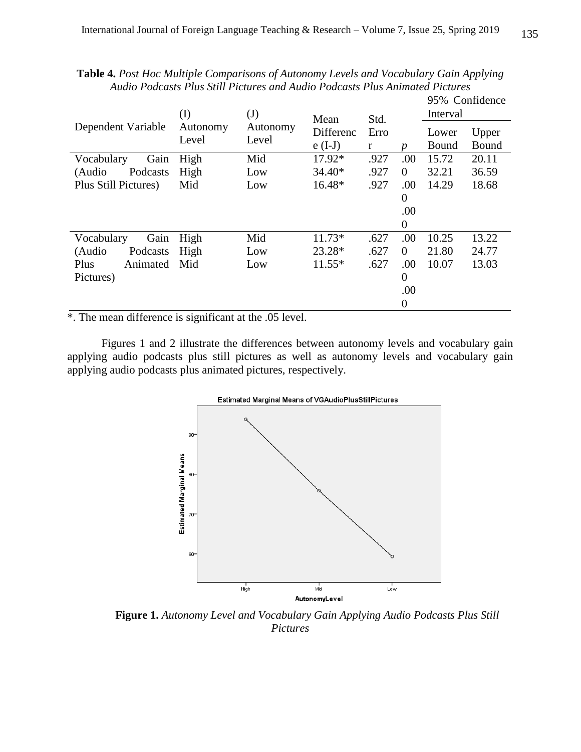|                      | (I)               | (J)               | Mean      | Std. |                | 95% Confidence<br>Interval |       |  |
|----------------------|-------------------|-------------------|-----------|------|----------------|----------------------------|-------|--|
| Dependent Variable   | Autonomy<br>Level | Autonomy<br>Level | Differenc | Erro |                | Lower                      | Upper |  |
|                      |                   |                   | $e(I-J)$  | r    | n              | Bound                      | Bound |  |
| Gain<br>Vocabulary   | High              | Mid               | 17.92*    | .927 | .00            | 15.72                      | 20.11 |  |
| (Audio<br>Podcasts   | High              | Low               | $34.40*$  | .927 | $\theta$       | 32.21                      | 36.59 |  |
| Plus Still Pictures) | Mid               | Low               | 16.48*    | .927 | .00            | 14.29                      | 18.68 |  |
|                      |                   |                   |           |      | $\theta$       |                            |       |  |
|                      |                   |                   |           |      | .00            |                            |       |  |
|                      |                   |                   |           |      | $\overline{0}$ |                            |       |  |
| Gain<br>Vocabulary   | High              | Mid               | $11.73*$  | .627 | .00            | 10.25                      | 13.22 |  |
| (Audio<br>Podcasts   | High              | Low               | 23.28*    | .627 | $\Omega$       | 21.80                      | 24.77 |  |
| Plus<br>Animated     | Mid               | Low               | $11.55*$  | .627 | .00            | 10.07                      | 13.03 |  |
| Pictures)            |                   |                   |           |      | $\overline{0}$ |                            |       |  |
|                      |                   |                   |           |      | .00            |                            |       |  |
|                      |                   |                   |           |      | $\overline{0}$ |                            |       |  |

**Table 4.** *Post Hoc Multiple Comparisons of Autonomy Levels and Vocabulary Gain Applying Audio Podcasts Plus Still Pictures and Audio Podcasts Plus Animated Pictures*

\*. The mean difference is significant at the .05 level.

Figures 1 and 2 illustrate the differences between autonomy levels and vocabulary gain applying audio podcasts plus still pictures as well as autonomy levels and vocabulary gain applying audio podcasts plus animated pictures, respectively.



**Figure 1.** *Autonomy Level and Vocabulary Gain Applying Audio Podcasts Plus Still Pictures*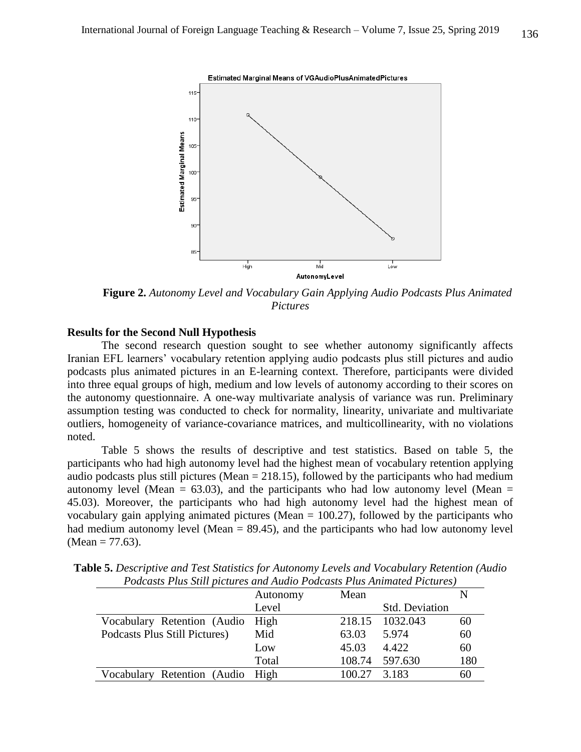

**Figure 2.** *Autonomy Level and Vocabulary Gain Applying Audio Podcasts Plus Animated Pictures*

## **Results for the Second Null Hypothesis**

The second research question sought to see whether autonomy significantly affects Iranian EFL learners' vocabulary retention applying audio podcasts plus still pictures and audio podcasts plus animated pictures in an E-learning context. Therefore, participants were divided into three equal groups of high, medium and low levels of autonomy according to their scores on the autonomy questionnaire. A one-way multivariate analysis of variance was run. Preliminary assumption testing was conducted to check for normality, linearity, univariate and multivariate outliers, homogeneity of variance-covariance matrices, and multicollinearity, with no violations noted.

Table 5 shows the results of descriptive and test statistics. Based on table 5, the participants who had high autonomy level had the highest mean of vocabulary retention applying audio podcasts plus still pictures (Mean  $= 218.15$ ), followed by the participants who had medium autonomy level (Mean =  $63.03$ ), and the participants who had low autonomy level (Mean = 45.03). Moreover, the participants who had high autonomy level had the highest mean of vocabulary gain applying animated pictures (Mean  $= 100.27$ ), followed by the participants who had medium autonomy level (Mean  $= 89.45$ ), and the participants who had low autonomy level  $(Mean = 77.63)$ .

|                                  | Autonomy | Mean   |                       |     |
|----------------------------------|----------|--------|-----------------------|-----|
|                                  | Level    |        | <b>Std. Deviation</b> |     |
| Vocabulary Retention (Audio High |          |        | 218.15 1032.043       | 60  |
| Podcasts Plus Still Pictures)    | Mid      | 63.03  | 5.974                 | 60  |
|                                  | Low      | 45.03  | 4.422                 | 60  |
|                                  | Total    |        | 108.74 597.630        | 180 |
| Vocabulary Retention (Audio High |          | 100.27 | 3.183                 | 60  |

**Table 5.** *Descriptive and Test Statistics for Autonomy Levels and Vocabulary Retention (Audio Podcasts Plus Still pictures and Audio Podcasts Plus Animated Pictures)*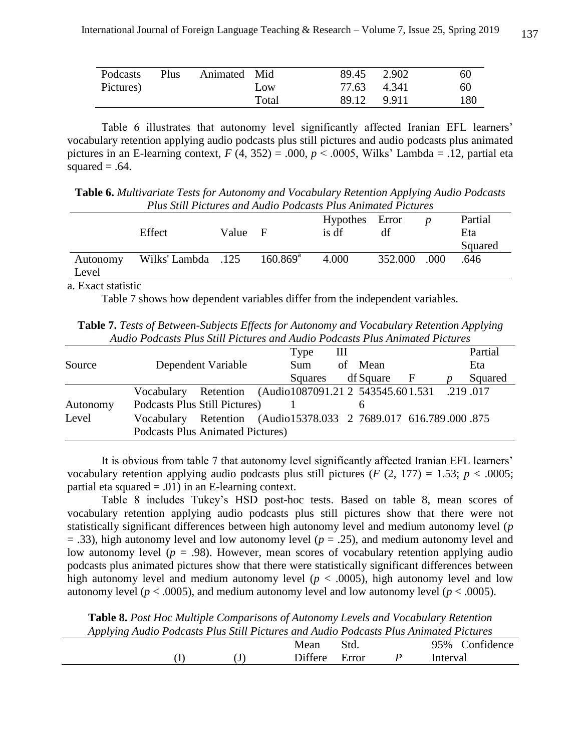| Podcasts  | Plus | Animated Mid |       | 89.45 2.902 | 60  |
|-----------|------|--------------|-------|-------------|-----|
| Pictures) |      |              | Low   | 77.63 4.341 | 60  |
|           |      |              | Total | 89.12 9.911 | 180 |

Table 6 illustrates that autonomy level significantly affected Iranian EFL learners' vocabulary retention applying audio podcasts plus still pictures and audio podcasts plus animated pictures in an E-learning context,  $F(4, 352) = .000$ ,  $p < .0005$ , Wilks' Lambda = .12, partial eta squared  $= .64$ .

**Table 6.** *Multivariate Tests for Autonomy and Vocabulary Retention Applying Audio Podcasts Plus Still Pictures and Audio Podcasts Plus Animated Pictures*

|                   | Effect             | Value F |                   | Hypothes Error<br>is df | df      |      | Partial<br>Eta<br>Squared |
|-------------------|--------------------|---------|-------------------|-------------------------|---------|------|---------------------------|
| Autonomy<br>Level | Vilks' Lambda .125 |         | $160.869^{\rm a}$ | 4.000                   | 352.000 | .000 | .646                      |

a. Exact statistic

Table 7 shows how dependent variables differ from the independent variables.

**Table 7.** *Tests of Between-Subjects Effects for Autonomy and Vocabulary Retention Applying Audio Podcasts Plus Still Pictures and Audio Podcasts Plus Animated Pictures*

|          |                                                                                                            | Type<br>Ш      |                | Partial |
|----------|------------------------------------------------------------------------------------------------------------|----------------|----------------|---------|
| Source   | Dependent Variable                                                                                         | Sum            | of Mean        | Eta     |
|          |                                                                                                            | <b>Squares</b> | df Square<br>F | Squared |
|          | Vocabulary Retention (Audio1087091.21 2 543545.601.531 .219 .017                                           |                |                |         |
| Autonomy | Podcasts Plus Still Pictures)                                                                              |                | h              |         |
| Level    | Vocabulary Retention (Audio15378.033 2 7689.017 616.789.000.875<br><b>Podcasts Plus Animated Pictures)</b> |                |                |         |

It is obvious from table 7 that autonomy level significantly affected Iranian EFL learners' vocabulary retention applying audio podcasts plus still pictures ( $F(2, 177) = 1.53$ ;  $p < .0005$ ; partial eta squared  $= .01$ ) in an E-learning context.

Table 8 includes Tukey's HSD post-hoc tests. Based on table 8, mean scores of vocabulary retention applying audio podcasts plus still pictures show that there were not statistically significant differences between high autonomy level and medium autonomy level (*p*  $=$  .33), high autonomy level and low autonomy level ( $p = .25$ ), and medium autonomy level and low autonomy level ( $p = .98$ ). However, mean scores of vocabulary retention applying audio podcasts plus animated pictures show that there were statistically significant differences between high autonomy level and medium autonomy level ( $p < .0005$ ), high autonomy level and low autonomy level ( $p < .0005$ ), and medium autonomy level and low autonomy level ( $p < .0005$ ).

**Table 8.** *Post Hoc Multiple Comparisons of Autonomy Levels and Vocabulary Retention Applying Audio Podcasts Plus Still Pictures and Audio Podcasts Plus Animated Pictures*

|     |      | Mean           | Std.  | Confidence<br>95% |
|-----|------|----------------|-------|-------------------|
| . . | نه ، | <b>Differe</b> | Error | Interval          |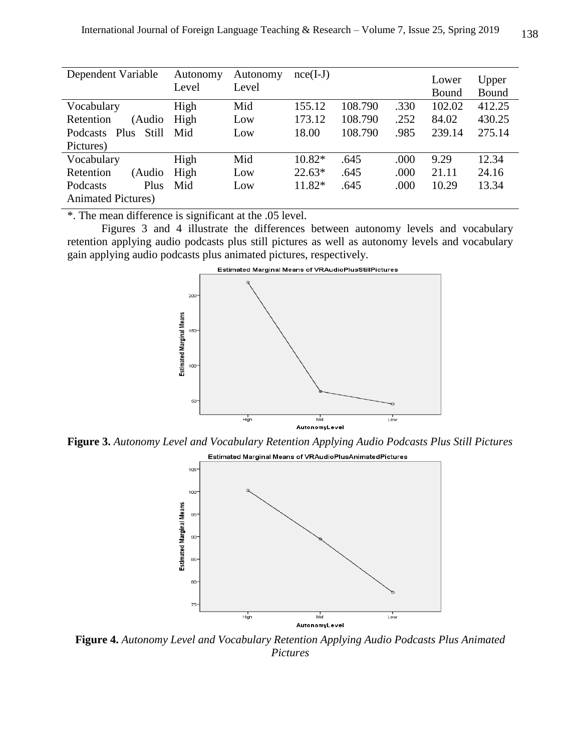| Dependent Variable         | Autonomy<br>Level | Autonomy<br>Level | $nce(I-J)$ |         |      | Lower<br>Bound | Upper<br>Bound |
|----------------------------|-------------------|-------------------|------------|---------|------|----------------|----------------|
| Vocabulary                 | High              | Mid               | 155.12     | 108.790 | .330 | 102.02         | 412.25         |
| Retention<br>(Audio        | High              | Low               | 173.12     | 108.790 | .252 | 84.02          | 430.25         |
| Still<br>Podcasts Plus     | Mid               | Low               | 18.00      | 108.790 | .985 | 239.14         | 275.14         |
| Pictures)                  |                   |                   |            |         |      |                |                |
| Vocabulary                 | High              | Mid               | $10.82*$   | .645    | .000 | 9.29           | 12.34          |
| Retention<br>(Audio        | High              | Low               | $22.63*$   | .645    | .000 | 21.11          | 24.16          |
| Podcasts<br>Plus           | Mid               | Low               | 11.82*     | .645    | .000 | 10.29          | 13.34          |
| <b>Animated Pictures</b> ) |                   |                   |            |         |      |                |                |

\*. The mean difference is significant at the .05 level.

Figures 3 and 4 illustrate the differences between autonomy levels and vocabulary retention applying audio podcasts plus still pictures as well as autonomy levels and vocabulary gain applying audio podcasts plus animated pictures, respectively.



**Figure 3.** *Autonomy Level and Vocabulary Retention Applying Audio Podcasts Plus Still Pictures*



**Figure 4.** *Autonomy Level and Vocabulary Retention Applying Audio Podcasts Plus Animated Pictures*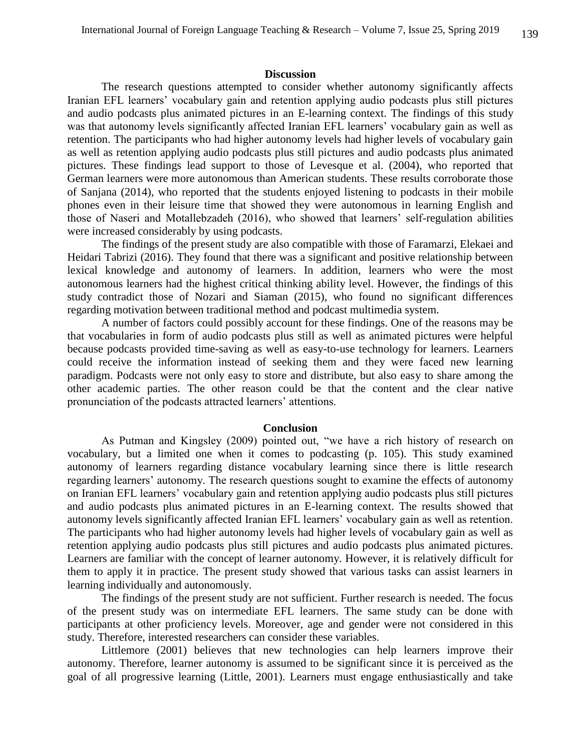#### **Discussion**

The research questions attempted to consider whether autonomy significantly affects Iranian EFL learners' vocabulary gain and retention applying audio podcasts plus still pictures and audio podcasts plus animated pictures in an E-learning context. The findings of this study was that autonomy levels significantly affected Iranian EFL learners' vocabulary gain as well as retention. The participants who had higher autonomy levels had higher levels of vocabulary gain as well as retention applying audio podcasts plus still pictures and audio podcasts plus animated pictures. These findings lead support to those of Levesque et al. (2004), who reported that German learners were more autonomous than American students. These results corroborate those of Sanjana (2014), who reported that the students enjoyed listening to podcasts in their mobile phones even in their leisure time that showed they were autonomous in learning English and those of Naseri and Motallebzadeh (2016), who showed that learners' self-regulation abilities were increased considerably by using podcasts.

The findings of the present study are also compatible with those of Faramarzi, Elekaei and Heidari Tabrizi (2016). They found that there was a significant and positive relationship between lexical knowledge and autonomy of learners. In addition, learners who were the most autonomous learners had the highest critical thinking ability level. However, the findings of this study contradict those of Nozari and Siaman (2015), who found no significant differences regarding motivation between traditional method and podcast multimedia system.

A number of factors could possibly account for these findings. One of the reasons may be that vocabularies in form of audio podcasts plus still as well as animated pictures were helpful because podcasts provided time-saving as well as easy-to-use technology for learners. Learners could receive the information instead of seeking them and they were faced new learning paradigm. Podcasts were not only easy to store and distribute, but also easy to share among the other academic parties. The other reason could be that the content and the clear native pronunciation of the podcasts attracted learners' attentions.

#### **Conclusion**

As Putman and Kingsley (2009) pointed out, "we have a rich history of research on vocabulary, but a limited one when it comes to podcasting (p. 105). This study examined autonomy of learners regarding distance vocabulary learning since there is little research regarding learners' autonomy. The research questions sought to examine the effects of autonomy on Iranian EFL learners' vocabulary gain and retention applying audio podcasts plus still pictures and audio podcasts plus animated pictures in an E-learning context. The results showed that autonomy levels significantly affected Iranian EFL learners' vocabulary gain as well as retention. The participants who had higher autonomy levels had higher levels of vocabulary gain as well as retention applying audio podcasts plus still pictures and audio podcasts plus animated pictures. Learners are familiar with the concept of learner autonomy. However, it is relatively difficult for them to apply it in practice. The present study showed that various tasks can assist learners in learning individually and autonomously.

The findings of the present study are not sufficient. Further research is needed. The focus of the present study was on intermediate EFL learners. The same study can be done with participants at other proficiency levels. Moreover, age and gender were not considered in this study. Therefore, interested researchers can consider these variables.

Littlemore (2001) believes that new technologies can help learners improve their autonomy. Therefore, learner autonomy is assumed to be significant since it is perceived as the goal of all progressive learning (Little, 2001). Learners must engage enthusiastically and take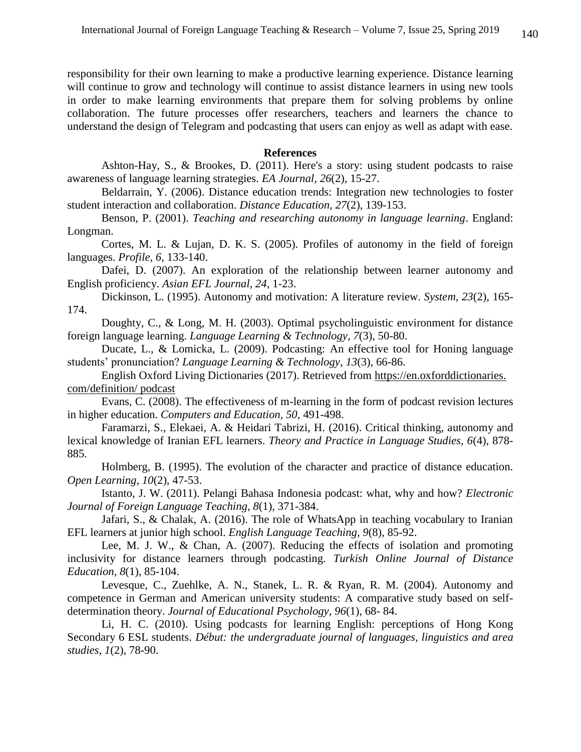responsibility for their own learning to make a productive learning experience. Distance learning will continue to grow and technology will continue to assist distance learners in using new tools in order to make learning environments that prepare them for solving problems by online collaboration. The future processes offer researchers, teachers and learners the chance to understand the design of Telegram and podcasting that users can enjoy as well as adapt with ease.

#### **References**

Ashton-Hay, S., & Brookes, D. (2011). Here's a story: using student podcasts to raise awareness of language learning strategies. *EA Journal*, *26*(2), 15-27.

Beldarrain, Y. (2006). Distance education trends: Integration new technologies to foster student interaction and collaboration. *Distance Education, 27*(2), 139-153.

Benson, P. (2001). *Teaching and researching autonomy in language learning*. England: Longman.

Cortes, M. L. & Lujan, D. K. S. (2005). Profiles of autonomy in the field of foreign languages. *Profile, 6*, 133-140.

Dafei, D. (2007). An exploration of the relationship between learner autonomy and English proficiency. *Asian EFL Journal, 24*, 1-23.

Dickinson, L. (1995). Autonomy and motivation: A literature review. *System, 23*(2), 165- 174.

Doughty, C., & Long, M. H. (2003). Optimal psycholinguistic environment for distance foreign language learning. *Language Learning & Technology, 7*(3), 50-80.

Ducate, L., & Lomicka, L. (2009). Podcasting: An effective tool for Honing language students' pronunciation? *Language Learning & Technology*, *13*(3), 66-86.

English Oxford Living Dictionaries (2017). Retrieved from https://en.oxforddictionaries. com/definition/ podcast

Evans, C. (2008). The effectiveness of m-learning in the form of podcast revision lectures in higher education. *Computers and Education, 50*, 491-498.

Faramarzi, S., Elekaei, A. & Heidari Tabrizi, H. (2016). Critical thinking, autonomy and lexical knowledge of Iranian EFL learners. *Theory and Practice in Language Studies, 6*(4), 878- 885.

Holmberg, B. (1995). The evolution of the character and practice of distance education. *Open Learning, 10*(2), 47-53.

Istanto, J. W. (2011). Pelangi Bahasa Indonesia podcast: what, why and how? *Electronic Journal of Foreign Language Teaching, 8*(1), 371-384.

Jafari, S., & Chalak, A. (2016). The role of WhatsApp in teaching vocabulary to Iranian EFL learners at junior high school. *English Language Teaching, 9*(8), 85-92.

Lee, M. J. W., & Chan, A. (2007). Reducing the effects of isolation and promoting inclusivity for distance learners through podcasting. *Turkish Online Journal of Distance Education, 8*(1), 85-104.

Levesque, C., Zuehlke, A. N., Stanek, L. R. & Ryan, R. M. (2004). Autonomy and competence in German and American university students: A comparative study based on selfdetermination theory. *Journal of Educational Psychology, 96*(1), 68- 84.

Li, H. C. (2010). Using podcasts for learning English: perceptions of Hong Kong Secondary 6 ESL students. *Début: the undergraduate journal of languages, linguistics and area studies, 1*(2), 78-90.